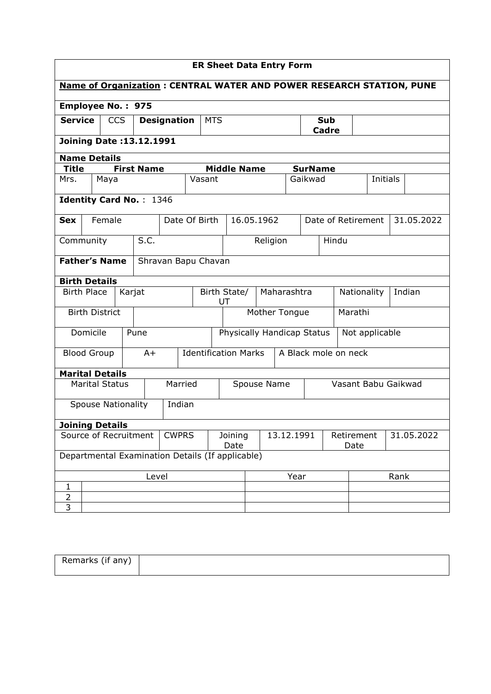| <b>ER Sheet Data Entry Form</b>             |                                                                             |                           |            |                                 |                    |         |               |                                                  |                                    |             |                |                            |                    |                |      |            |
|---------------------------------------------|-----------------------------------------------------------------------------|---------------------------|------------|---------------------------------|--------------------|---------|---------------|--------------------------------------------------|------------------------------------|-------------|----------------|----------------------------|--------------------|----------------|------|------------|
|                                             | <b>Name of Organization: CENTRAL WATER AND POWER RESEARCH STATION, PUNE</b> |                           |            |                                 |                    |         |               |                                                  |                                    |             |                |                            |                    |                |      |            |
| <b>Employee No.: 975</b>                    |                                                                             |                           |            |                                 |                    |         |               |                                                  |                                    |             |                |                            |                    |                |      |            |
| <b>Service</b>                              |                                                                             |                           | <b>CCS</b> |                                 | <b>Designation</b> |         | <b>MTS</b>    |                                                  |                                    |             |                | <b>Sub</b><br><b>Cadre</b> |                    |                |      |            |
|                                             |                                                                             |                           |            | <b>Joining Date: 13.12.1991</b> |                    |         |               |                                                  |                                    |             |                |                            |                    |                |      |            |
| <b>Name Details</b>                         |                                                                             |                           |            |                                 |                    |         |               |                                                  |                                    |             |                |                            |                    |                |      |            |
| <b>Title</b>                                |                                                                             |                           |            | <b>First Name</b>               |                    |         |               | <b>Middle Name</b>                               |                                    |             | <b>SurName</b> |                            |                    |                |      |            |
| Mrs.                                        |                                                                             | Maya                      |            |                                 |                    |         | Vasant        |                                                  |                                    |             | Gaikwad        |                            |                    | Initials       |      |            |
|                                             |                                                                             |                           |            | <b>Identity Card No.: 1346</b>  |                    |         |               |                                                  |                                    |             |                |                            |                    |                |      |            |
| <b>Sex</b>                                  |                                                                             | Female                    |            |                                 |                    |         | Date Of Birth |                                                  | 16.05.1962                         |             |                |                            | Date of Retirement |                |      | 31.05.2022 |
| Community                                   |                                                                             |                           |            | S.C.                            |                    |         |               |                                                  | Religion                           |             |                |                            | Hindu              |                |      |            |
| <b>Father's Name</b><br>Shravan Bapu Chavan |                                                                             |                           |            |                                 |                    |         |               |                                                  |                                    |             |                |                            |                    |                |      |            |
| <b>Birth Details</b>                        |                                                                             |                           |            |                                 |                    |         |               |                                                  |                                    |             |                |                            |                    |                |      |            |
| <b>Birth Place</b>                          |                                                                             |                           | Karjat     |                                 |                    |         |               | Birth State/<br>UT                               |                                    | Maharashtra |                |                            | Nationality        |                |      | Indian     |
|                                             |                                                                             | <b>Birth District</b>     |            |                                 |                    |         |               | Mother Tongue                                    |                                    |             |                | Marathi                    |                    |                |      |            |
|                                             | Domicile                                                                    |                           |            | Pune                            |                    |         |               | Physically Handicap Status                       |                                    |             |                |                            |                    | Not applicable |      |            |
|                                             |                                                                             | <b>Blood Group</b>        |            | $A+$                            |                    |         |               | <b>Identification Marks</b>                      |                                    |             |                | A Black mole on neck       |                    |                |      |            |
| <b>Marital Details</b>                      |                                                                             |                           |            |                                 |                    |         |               |                                                  |                                    |             |                |                            |                    |                |      |            |
|                                             |                                                                             | <b>Marital Status</b>     |            |                                 |                    | Married |               |                                                  | Vasant Babu Gaikwad<br>Spouse Name |             |                |                            |                    |                |      |            |
|                                             |                                                                             | <b>Spouse Nationality</b> |            |                                 |                    | Indian  |               |                                                  |                                    |             |                |                            |                    |                |      |            |
| <b>Joining Details</b>                      |                                                                             |                           |            |                                 |                    |         |               |                                                  |                                    |             |                |                            |                    |                |      |            |
| Source of Recruitment<br><b>CWPRS</b>       |                                                                             |                           |            | Joining<br>Date                 | 13.12.1991         |         |               | Retirement<br>Date                               |                                    |             | 31.05.2022     |                            |                    |                |      |            |
|                                             |                                                                             |                           |            |                                 |                    |         |               | Departmental Examination Details (If applicable) |                                    |             |                |                            |                    |                |      |            |
|                                             |                                                                             |                           |            | Level                           |                    |         |               |                                                  |                                    |             | Year           |                            |                    |                | Rank |            |
| 1                                           |                                                                             |                           |            |                                 |                    |         |               |                                                  |                                    |             |                |                            |                    |                |      |            |
| $\overline{2}$<br>3                         |                                                                             |                           |            |                                 |                    |         |               |                                                  |                                    |             |                |                            |                    |                |      |            |
|                                             |                                                                             |                           |            |                                 |                    |         |               |                                                  |                                    |             |                |                            |                    |                |      |            |

| Remarks (if any) |  |
|------------------|--|
|                  |  |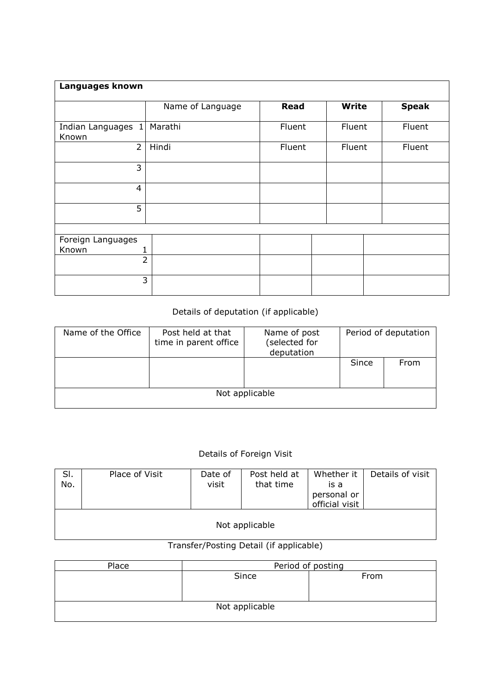| Languages known             |                  |             |        |              |              |
|-----------------------------|------------------|-------------|--------|--------------|--------------|
|                             |                  |             |        |              |              |
|                             | Name of Language | <b>Read</b> |        | <b>Write</b> | <b>Speak</b> |
|                             |                  |             |        |              |              |
| Indian Languages 1<br>Known | Marathi          | Fluent      | Fluent |              | Fluent       |
| $\overline{2}$              | Hindi            | Fluent      | Fluent |              | Fluent       |
| 3                           |                  |             |        |              |              |
| 4                           |                  |             |        |              |              |
| 5                           |                  |             |        |              |              |
|                             |                  |             |        |              |              |
| Foreign Languages           |                  |             |        |              |              |
| Known                       |                  |             |        |              |              |
|                             | $\overline{2}$   |             |        |              |              |
|                             | 3                |             |        |              |              |

## Details of deputation (if applicable)

| Name of the Office | Post held at that<br>time in parent office | Name of post<br>(selected for<br>deputation |       | Period of deputation |  |  |  |  |
|--------------------|--------------------------------------------|---------------------------------------------|-------|----------------------|--|--|--|--|
|                    |                                            |                                             | Since | From                 |  |  |  |  |
| Not applicable     |                                            |                                             |       |                      |  |  |  |  |

## Details of Foreign Visit

| SI.<br>No. | Place of Visit | Date of<br>visit | Post held at<br>that time | Whether it<br>is a<br>personal or<br>official visit | Details of visit |  |  |  |  |  |  |
|------------|----------------|------------------|---------------------------|-----------------------------------------------------|------------------|--|--|--|--|--|--|
|            | Not applicable |                  |                           |                                                     |                  |  |  |  |  |  |  |

## Transfer/Posting Detail (if applicable)

| Place | Period of posting |      |  |  |  |  |  |
|-------|-------------------|------|--|--|--|--|--|
|       | Since             | From |  |  |  |  |  |
|       |                   |      |  |  |  |  |  |
|       |                   |      |  |  |  |  |  |
|       | Not applicable    |      |  |  |  |  |  |
|       |                   |      |  |  |  |  |  |